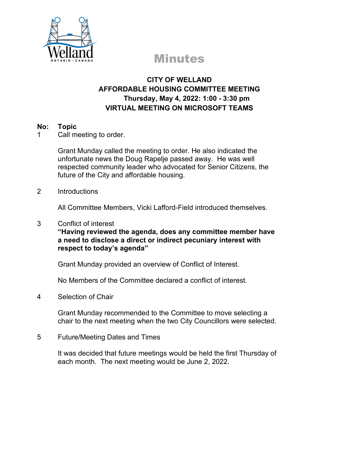

# Minutes

# **CITY OF WELLAND AFFORDABLE HOUSING COMMITTEE MEETING Thursday, May 4, 2022: 1:00 - 3:30 pm VIRTUAL MEETING ON MICROSOFT TEAMS**

### **No: Topic**

1 Call meeting to order.

Grant Munday called the meeting to order. He also indicated the unfortunate news the Doug Rapelje passed away. He was well respected community leader who advocated for Senior Citizens, the future of the City and affordable housing.

#### 2 Introductions

All Committee Members, Vicki Lafford-Field introduced themselves.

#### 3 Conflict of interest

**"Having reviewed the agenda, does any committee member have a need to disclose a direct or indirect pecuniary interest with respect to today's agenda"**

Grant Munday provided an overview of Conflict of Interest.

No Members of the Committee declared a conflict of interest.

## 4 Selection of Chair

Grant Munday recommended to the Committee to move selecting a chair to the next meeting when the two City Councillors were selected.

5 Future/Meeting Dates and Times

It was decided that future meetings would be held the first Thursday of each month. The next meeting would be June 2, 2022.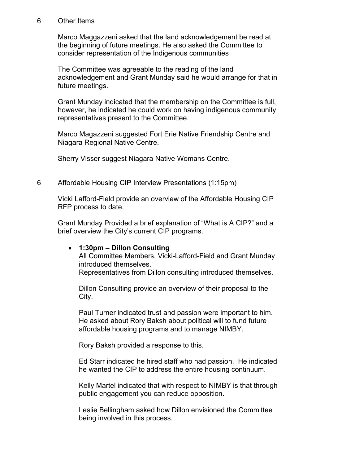#### 6 Other Items

Marco Maggazzeni asked that the land acknowledgement be read at the beginning of future meetings. He also asked the Committee to consider representation of the Indigenous communities

The Committee was agreeable to the reading of the land acknowledgement and Grant Munday said he would arrange for that in future meetings.

Grant Munday indicated that the membership on the Committee is full, however, he indicated he could work on having indigenous community representatives present to the Committee.

Marco Magazzeni suggested Fort Erie Native Friendship Centre and Niagara Regional Native Centre.

Sherry Visser suggest Niagara Native Womans Centre.

6 Affordable Housing CIP Interview Presentations (1:15pm)

Vicki Lafford-Field provide an overview of the Affordable Housing CIP RFP process to date.

Grant Munday Provided a brief explanation of "What is A CIP?" and a brief overview the City's current CIP programs.

#### • **1:30pm – Dillon Consulting**

All Committee Members, Vicki-Lafford-Field and Grant Munday introduced themselves.

Representatives from Dillon consulting introduced themselves.

Dillon Consulting provide an overview of their proposal to the City.

Paul Turner indicated trust and passion were important to him. He asked about Rory Baksh about political will to fund future affordable housing programs and to manage NIMBY.

Rory Baksh provided a response to this.

Ed Starr indicated he hired staff who had passion. He indicated he wanted the CIP to address the entire housing continuum.

Kelly Martel indicated that with respect to NIMBY is that through public engagement you can reduce opposition.

Leslie Bellingham asked how Dillon envisioned the Committee being involved in this process.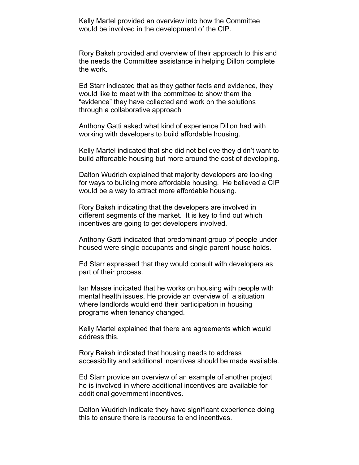Kelly Martel provided an overview into how the Committee would be involved in the development of the CIP.

Rory Baksh provided and overview of their approach to this and the needs the Committee assistance in helping Dillon complete the work.

Ed Starr indicated that as they gather facts and evidence, they would like to meet with the committee to show them the "evidence" they have collected and work on the solutions through a collaborative approach

Anthony Gatti asked what kind of experience Dillon had with working with developers to build affordable housing.

Kelly Martel indicated that she did not believe they didn't want to build affordable housing but more around the cost of developing.

Dalton Wudrich explained that majority developers are looking for ways to building more affordable housing. He believed a CIP would be a way to attract more affordable housing.

Rory Baksh indicating that the developers are involved in different segments of the market. It is key to find out which incentives are going to get developers involved.

Anthony Gatti indicated that predominant group pf people under housed were single occupants and single parent house holds.

Ed Starr expressed that they would consult with developers as part of their process.

Ian Masse indicated that he works on housing with people with mental health issues. He provide an overview of a situation where landlords would end their participation in housing programs when tenancy changed.

Kelly Martel explained that there are agreements which would address this.

Rory Baksh indicated that housing needs to address accessibility and additional incentives should be made available.

Ed Starr provide an overview of an example of another project he is involved in where additional incentives are available for additional government incentives.

Dalton Wudrich indicate they have significant experience doing this to ensure there is recourse to end incentives.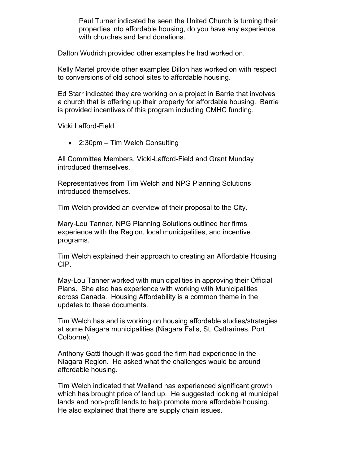Paul Turner indicated he seen the United Church is turning their properties into affordable housing, do you have any experience with churches and land donations.

Dalton Wudrich provided other examples he had worked on.

Kelly Martel provide other examples Dillon has worked on with respect to conversions of old school sites to affordable housing.

Ed Starr indicated they are working on a project in Barrie that involves a church that is offering up their property for affordable housing. Barrie is provided incentives of this program including CMHC funding.

Vicki Lafford-Field

• 2:30pm – Tim Welch Consulting

All Committee Members, Vicki-Lafford-Field and Grant Munday introduced themselves.

Representatives from Tim Welch and NPG Planning Solutions introduced themselves.

Tim Welch provided an overview of their proposal to the City.

Mary-Lou Tanner, NPG Planning Solutions outlined her firms experience with the Region, local municipalities, and incentive programs.

Tim Welch explained their approach to creating an Affordable Housing CIP.

May-Lou Tanner worked with municipalities in approving their Official Plans. She also has experience with working with Municipalities across Canada. Housing Affordability is a common theme in the updates to these documents.

Tim Welch has and is working on housing affordable studies/strategies at some Niagara municipalities (Niagara Falls, St. Catharines, Port Colborne).

Anthony Gatti though it was good the firm had experience in the Niagara Region. He asked what the challenges would be around affordable housing.

Tim Welch indicated that Welland has experienced significant growth which has brought price of land up. He suggested looking at municipal lands and non-profit lands to help promote more affordable housing. He also explained that there are supply chain issues.